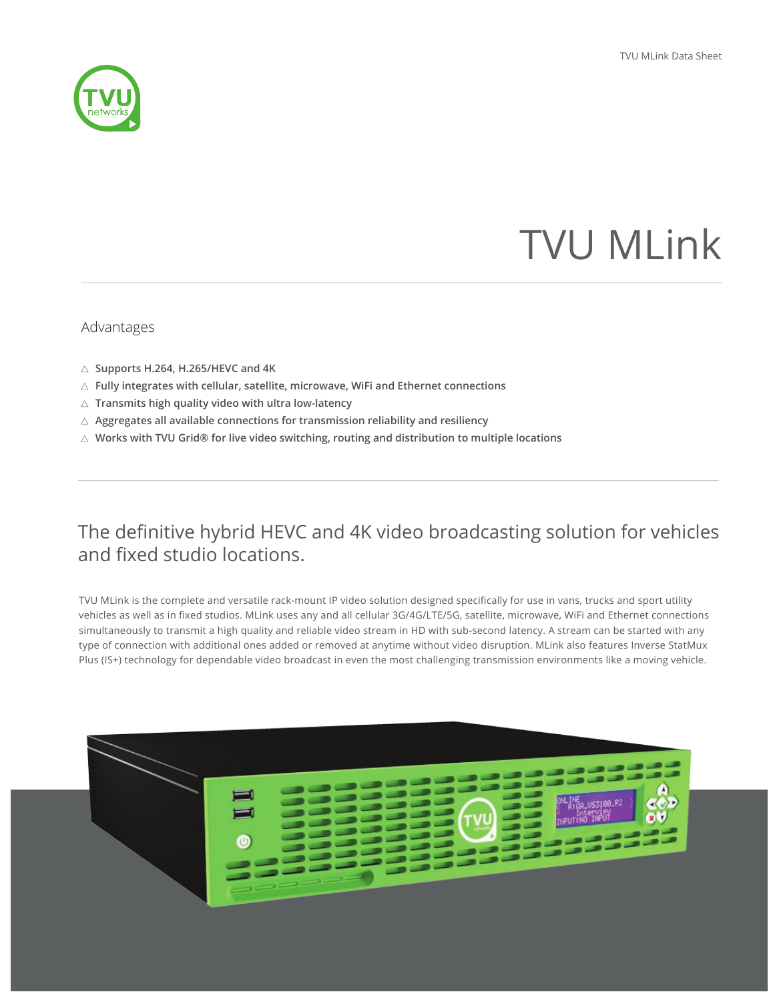

# TVU MLink

## Advantages

- **Supports H.264, H.265/HEVC and 4K**
- **Fully integrates with cellular, satellite, microwave, WiFi and Ethernet connections**
- **Transmits high quality video with ultra low-latency**
- **Aggregates all available connections for transmission reliability and resiliency**
- **Works with TVU Grid® for live video switching, routing and distribution to multiple locations**

## The definitive hybrid HEVC and 4K video broadcasting solution for vehicles and fixed studio locations.

TVU MLink is the complete and versatile rack-mount IP video solution designed specifically for use in vans, trucks and sport utility vehicles as well as in fixed studios. MLink uses any and all cellular 3G/4G/LTE/5G, satellite, microwave, WiFi and Ethernet connections simultaneously to transmit a high quality and reliable video stream in HD with sub-second latency. A stream can be started with any type of connection with additional ones added or removed at anytime without video disruption. MLink also features Inverse StatMux Plus (IS+) technology for dependable video broadcast in even the most challenging transmission environments like a moving vehicle.

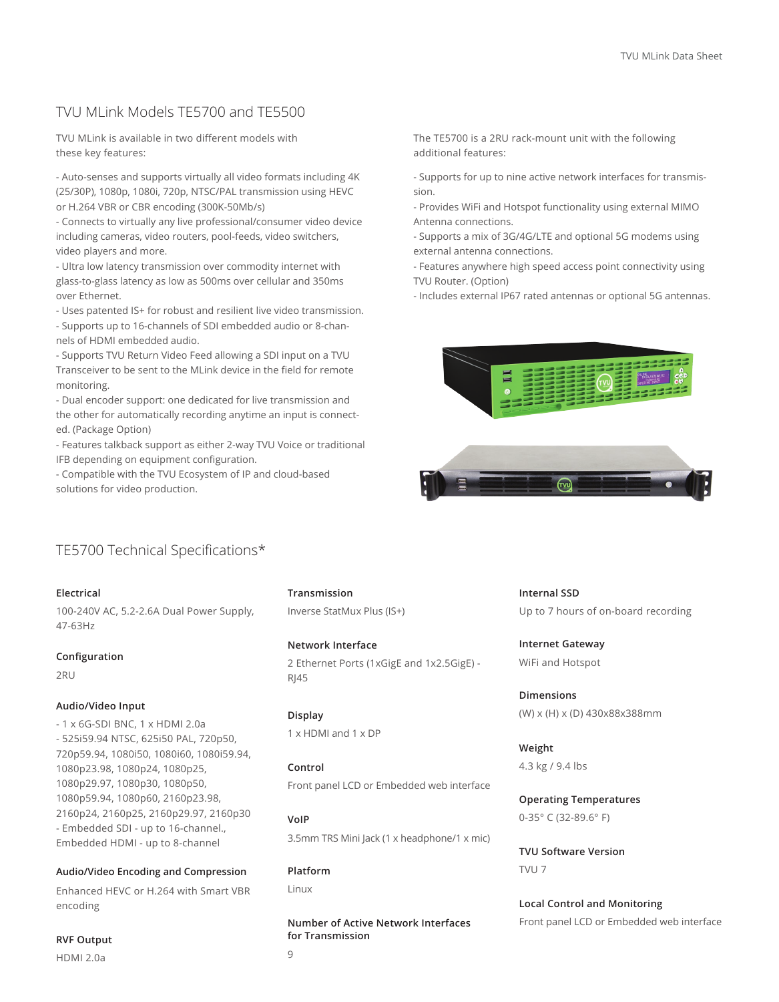## TVU MLink Models TE5700 and TE5500

TVU MLink is available in two different models with these key features:

- Auto-senses and supports virtually all video formats including 4K (25/30P), 1080p, 1080i, 720p, NTSC/PAL transmission using HEVC or H.264 VBR or CBR encoding (300K-50Mb/s)

- Connects to virtually any live professional/consumer video device including cameras, video routers, pool-feeds, video switchers, video players and more.

- Ultra low latency transmission over commodity internet with glass-to-glass latency as low as 500ms over cellular and 350ms over Ethernet.

- Uses patented IS+ for robust and resilient live video transmission.

- Supports up to 16-channels of SDI embedded audio or 8-channels of HDMI embedded audio.

- Supports TVU Return Video Feed allowing a SDI input on a TVU Transceiver to be sent to the MLink device in the field for remote monitoring.

- Dual encoder support: one dedicated for live transmission and the other for automatically recording anytime an input is connected. (Package Option)

- Features talkback support as either 2-way TVU Voice or traditional IFB depending on equipment configuration.

- Compatible with the TVU Ecosystem of IP and cloud-based solutions for video production.

The TE5700 is a 2RU rack-mount unit with the following additional features:

- Supports for up to nine active network interfaces for transmission.

- Provides WiFi and Hotspot functionality using external MIMO Antenna connections.

- Supports a mix of 3G/4G/LTE and optional 5G modems using external antenna connections.

- Features anywhere high speed access point connectivity using TVU Router. (Option)

- Includes external IP67 rated antennas or optional 5G antennas.





## TE5700 Technical Specifications\*

#### **Electrical**

100-240V AC, 5.2-2.6A Dual Power Supply, 47-63Hz

#### **Configuration**

2RU

#### **Audio/Video Input**

**RVF Output**  HDMI 2.0a

- 1 x 6G-SDI BNC, 1 x HDMI 2.0a - 525i59.94 NTSC, 625i50 PAL, 720p50, 720p59.94, 1080i50, 1080i60, 1080i59.94, 1080p23.98, 1080p24, 1080p25, 1080p29.97, 1080p30, 1080p50, 1080p59.94, 1080p60, 2160p23.98, 2160p24, 2160p25, 2160p29.97, 2160p30 - Embedded SDI - up to 16-channel., Embedded HDMI - up to 8-channel

#### **Audio/Video Encoding and Compression**

Enhanced HEVC or H.264 with Smart VBR encoding

### **Transmission**

Inverse StatMux Plus (IS+)

#### **Network Interface**

2 Ethernet Ports (1xGigE and 1x2.5GigE) - RJ45

**Display** 1 x HDMI and 1 x DP

**Control** Front panel LCD or Embedded web interface

**VoIP** 3.5mm TRS Mini Jack (1 x headphone/1 x mic)

**Platform** Linux

**Number of Active Network Interfaces for Transmission**

**Internal SSD** Up to 7 hours of on-board recording

**Internet Gateway** WiFi and Hotspot

**Dimensions** (W) x (H) x (D) 430x88x388mm

**Weight** 4.3 kg / 9.4 lbs

**Operating Temperatures** 0-35° C (32-89.6° F)

**TVU Software Version** TVU 7

**Local Control and Monitoring** Front panel LCD or Embedded web interface